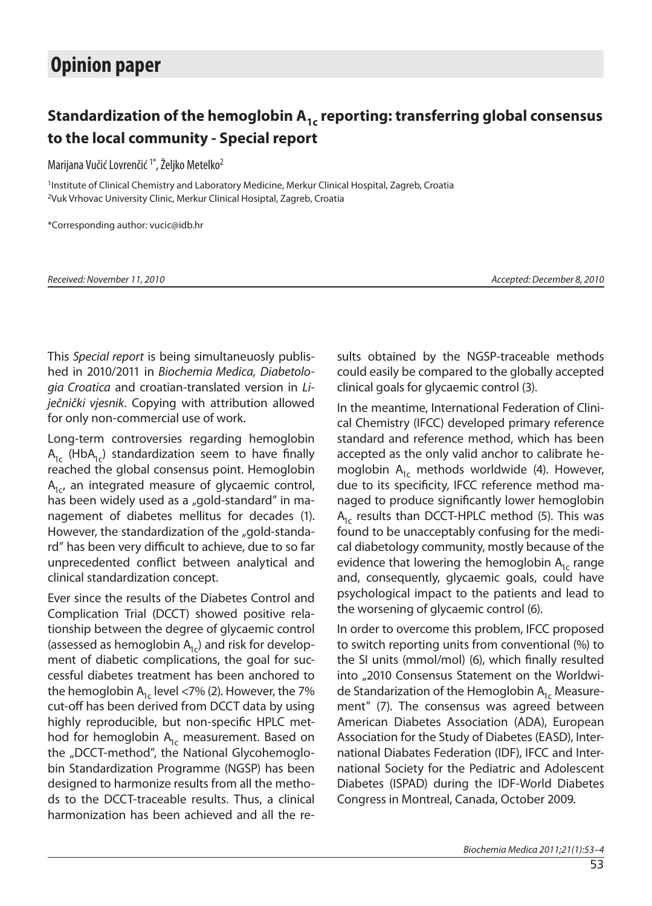## Standardization of the hemoglobin A<sub>1c</sub> reporting: transferring global consensus to the local community - Special report

Marijana Vučić Lovrenčić<sup>1\*</sup>, Željko Metelko<sup>2</sup>

<sup>1</sup>Institute of Clinical Chemistry and Laboratory Medicine, Merkur Clinical Hospital, Zagreb, Croatia <sup>2</sup>Vuk Vrhovac University Clinic, Merkur Clinical Hosiptal, Zagreb, Croatia

\*Cor res pon di ng aut hor: vu cic @i db.hr

Received: November 11, 2010 **Accepted: December 8, 2010** Accepted: December 8, 2010

This Special report is being simultaneuosly published in 2010/2011 in Biochemia Medica, Diabetologia Croatica and croatian-translated version in Liječnički vjesnik. Copying with attribution allowed for only non-commercial use of work.

Long-term controversies regarding hemoglobin  $A_{1c}$  (HbA<sub>1c</sub>) standardization seem to have finally reached the global consensus point. Hemoglobin  $A<sub>1c</sub>$ , an integrated measure of glycaemic control, has been widely used as a "gold-standard" in mana gement of diabetes mellitus for decades (1). However, the standardization of the "gold-standard" has been very difficult to achieve, due to so far unprecedented conflict between analytical and clinical standardization concept.

Ever since the results of the Diabetes Control and Complication Trial (DCCT) showed positive relationship between the degree of glycaemic control (assessed as hemoglobin  $A_{1c}$ ) and risk for development of diabetic complications, the goal for successful diabetes treatment has been anchored to the hemoglobin  $A<sub>1c</sub>$  level <7% (2). However, the 7% cut-off has been derived from DCCT data by using highly reproducible, but non-specific HPLC method for hemoglobin  $A_{1c}$  measurement. Based on the "DCCT-method", the National Glycohemoglobin Standardization Programme (NGSP) has been designed to harmonize results from all the methods to the DCCT-traceable results. Thus, a clinical harmonization has been achieved and all the results obtained by the NGSP-traceable methods could easily be compared to the globally accepted clinical goals for glycaemic control (3).

In the meantime, International Federation of Clinical Chemistry (IFCC) developed primary reference standard and reference method, which has been accepted as the only valid anchor to calibrate hemoglobin  $A_{1c}$  methods worldwide (4). However, due to its specificity, IFCC reference method managed to produce significantly lower hemoglobin  $A<sub>1c</sub>$  results than DCCT-HPLC method (5). This was found to be unacceptably confusing for the medical diabetology community, mostly because of the evidence that lowering the hemoglobin  $A_{1c}$  range and, consequently, glycaemic goals, could have psychological impact to the patients and lead to the worsening of glycaemic control (6).

In order to overcome this problem, IFCC proposed to switch reporting units from conventional (%) to the SI units (mmol/mol) (6), which finally resulted into "2010 Consensus Statement on the Worldwide Standarization of the Hemoglobin  $A_{1c}$  Measurement" (7). The consensus was agreed between American Diabetes Association (ADA), European Association for the Study of Diabetes (EASD), International Diabates Federation (IDF), IFCC and International Society for the Pediatric and Adolescent Diabetes (ISPAD) during the IDF-World Diabetes Congress in Montreal, Canada, October 2009.